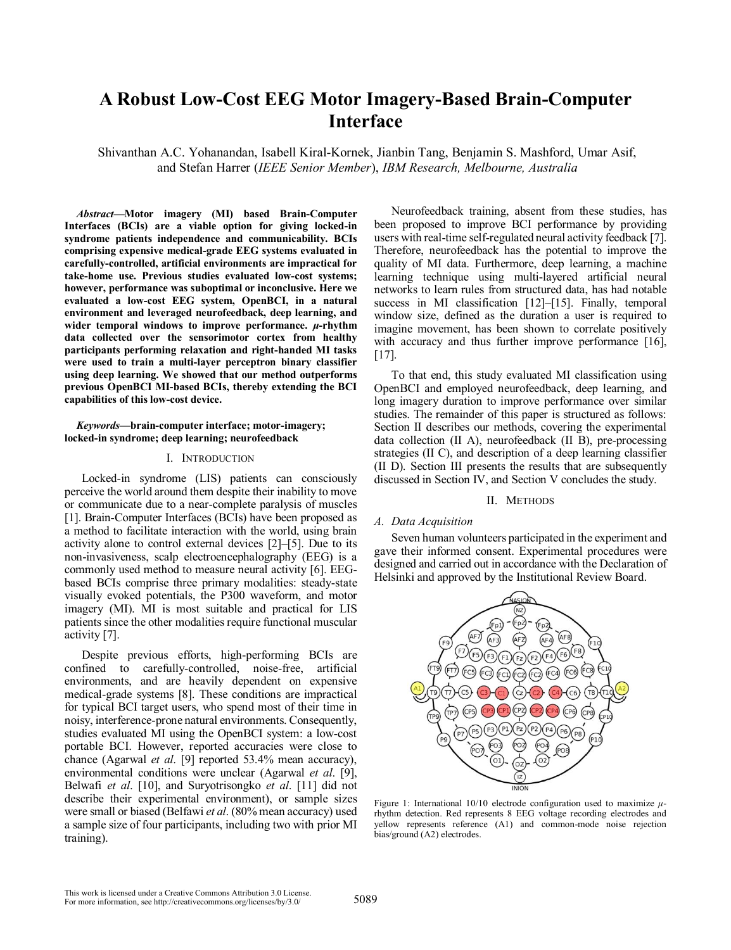# **A Robust Low-Cost EEG Motor Imagery-Based Brain-Computer Interface**

Shivanthan A.C. Yohanandan, Isabell Kiral-Kornek, Jianbin Tang, Benjamin S. Mashford, Umar Asif, and Stefan Harrer (*IEEE Senior Member*), *IBM Research, Melbourne, Australia*

*Abstract***—Motor imagery (MI) based Brain-Computer Interfaces (BCIs) are a viable option for giving locked-in syndrome patients independence and communicability. BCIs comprising expensive medical-grade EEG systems evaluated in carefully-controlled, artificial environments are impractical for take-home use. Previous studies evaluated low-cost systems; however, performance was suboptimal or inconclusive. Here we evaluated a low-cost EEG system, OpenBCI, in a natural environment and leveraged neurofeedback, deep learning, and wider temporal windows to improve performance.** *μ***-rhythm data collected over the sensorimotor cortex from healthy participants performing relaxation and right-handed MI tasks were used to train a multi-layer perceptron binary classifier using deep learning. We showed that our method outperforms previous OpenBCI MI-based BCIs, thereby extending the BCI capabilities of this low-cost device.**

*Keywords***—brain-computer interface; motor-imagery; locked-in syndrome; deep learning; neurofeedback**

## I. INTRODUCTION

Locked-in syndrome (LIS) patients can consciously perceive the world around them despite their inability to move or communicate due to a near-complete paralysis of muscles [1]. Brain-Computer Interfaces (BCIs) have been proposed as a method to facilitate interaction with the world, using brain activity alone to control external devices [2]–[5]. Due to its non-invasiveness, scalp electroencephalography (EEG) is a commonly used method to measure neural activity [6]. EEGbased BCIs comprise three primary modalities: steady-state visually evoked potentials, the P300 waveform, and motor imagery (MI). MI is most suitable and practical for LIS patients since the other modalities require functional muscular activity [7].

Despite previous efforts, high-performing BCIs are confined to carefully-controlled, noise-free, artificial environments, and are heavily dependent on expensive medical-grade systems [8]. These conditions are impractical for typical BCI target users, who spend most of their time in noisy, interference-prone natural environments. Consequently, studies evaluated MI using the OpenBCI system: a low-cost portable BCI. However, reported accuracies were close to chance (Agarwal *et al*. [9] reported 53.4% mean accuracy), environmental conditions were unclear (Agarwal *et al*. [9], Belwafi *et al*. [10], and Suryotrisongko *et al*. [11] did not describe their experimental environment), or sample sizes were small or biased (Belfawi *et al*. (80% mean accuracy) used a sample size of four participants, including two with prior MI training).

Neurofeedback training, absent from these studies, has been proposed to improve BCI performance by providing users with real-time self-regulated neural activity feedback [7]. Therefore, neurofeedback has the potential to improve the quality of MI data. Furthermore, deep learning, a machine learning technique using multi-layered artificial neural networks to learn rules from structured data, has had notable success in MI classification [12]–[15]. Finally, temporal window size, defined as the duration a user is required to imagine movement, has been shown to correlate positively with accuracy and thus further improve performance [16], [17].

To that end, this study evaluated MI classification using OpenBCI and employed neurofeedback, deep learning, and long imagery duration to improve performance over similar studies. The remainder of this paper is structured as follows: Section II describes our methods, covering the experimental data collection (II A), neurofeedback (II B), pre-processing strategies (II C), and description of a deep learning classifier (II D). Section III presents the results that are subsequently discussed in Section IV, and Section V concludes the study.

#### II. METHODS

# *A. Data Acquisition*

Seven human volunteers participated in the experiment and gave their informed consent. Experimental procedures were designed and carried out in accordance with the Declaration of Helsinki and approved by the Institutional Review Board.



Figure 1: International 10/10 electrode configuration used to maximize *μ*rhythm detection. Red represents 8 EEG voltage recording electrodes and yellow represents reference (A1) and common-mode noise rejection bias/ground (A2) electrodes.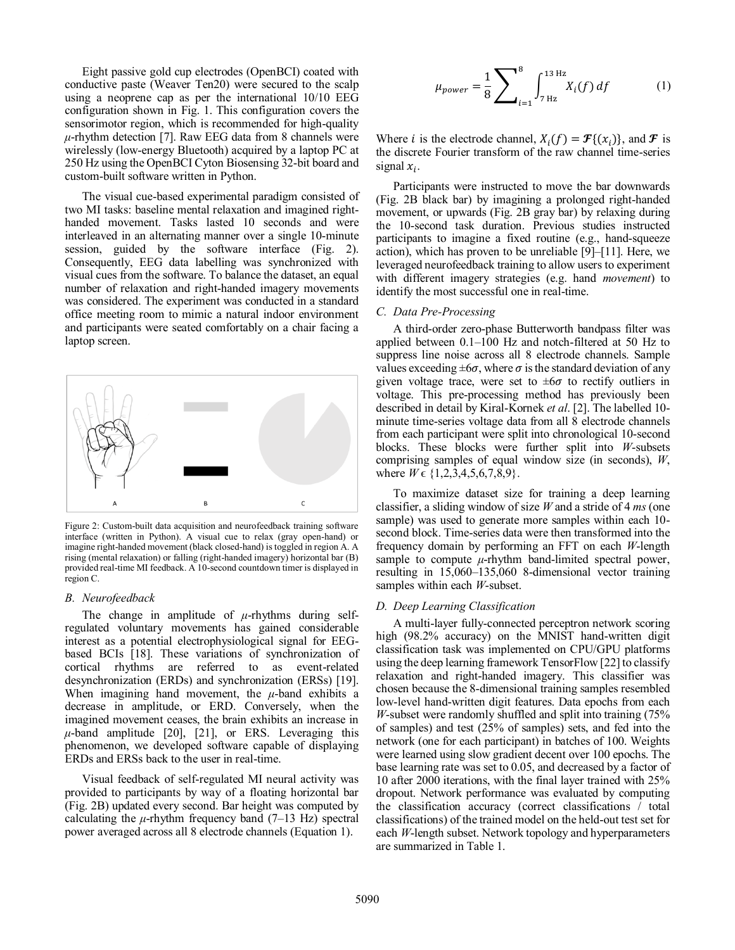Eight passive gold cup electrodes (OpenBCI) coated with conductive paste (Weaver Ten20) were secured to the scalp using a neoprene cap as per the international 10/10 EEG configuration shown in Fig. 1. This configuration covers the sensorimotor region, which is recommended for high-quality  $\mu$ -rhythm detection [7]. Raw EEG data from 8 channels were wirelessly (low-energy Bluetooth) acquired by a laptop PC at 250 Hz using the OpenBCI Cyton Biosensing 32-bit board and custom-built software written in Python.

The visual cue-based experimental paradigm consisted of two MI tasks: baseline mental relaxation and imagined righthanded movement. Tasks lasted 10 seconds and were interleaved in an alternating manner over a single 10-minute session, guided by the software interface (Fig. 2). Consequently, EEG data labelling was synchronized with visual cues from the software. To balance the dataset, an equal number of relaxation and right-handed imagery movements was considered. The experiment was conducted in a standard office meeting room to mimic a natural indoor environment and participants were seated comfortably on a chair facing a laptop screen.



Figure 2: Custom-built data acquisition and neurofeedback training software interface (written in Python). A visual cue to relax (gray open-hand) or imagine right-handed movement (black closed-hand) is toggled in region A. A rising (mental relaxation) or falling (right-handed imagery) horizontal bar (B) provided real-time MI feedback. A 10-second countdown timer is displayed in region C.

#### *B. Neurofeedback*

The change in amplitude of  $\mu$ -rhythms during selfregulated voluntary movements has gained considerable interest as a potential electrophysiological signal for EEGbased BCIs [18]. These variations of synchronization of cortical rhythms are referred to as event-related desynchronization (ERDs) and synchronization (ERSs) [19]. When imagining hand movement, the *μ*-band exhibits a decrease in amplitude, or ERD. Conversely, when the imagined movement ceases, the brain exhibits an increase in  $\mu$ -band amplitude [20], [21], or ERS. Leveraging this phenomenon, we developed software capable of displaying ERDs and ERSs back to the user in real-time.

Visual feedback of self-regulated MI neural activity was provided to participants by way of a floating horizontal bar (Fig. 2B) updated every second. Bar height was computed by calculating the  $\mu$ -rhythm frequency band (7–13 Hz) spectral power averaged across all 8 electrode channels (Equation 1).

$$
\mu_{power} = \frac{1}{8} \sum_{i=1}^{8} \int_{7 \text{ Hz}}^{13 \text{ Hz}} X_i(f) \, df \tag{1}
$$

Where *i* is the electrode channel,  $X_i(f) = \mathcal{F}\{(x_i)\}\)$ , and  $\mathcal F$  is the discrete Fourier transform of the raw channel time-series signal  $x_i$ .

Participants were instructed to move the bar downwards (Fig. 2B black bar) by imagining a prolonged right-handed movement, or upwards (Fig. 2B gray bar) by relaxing during the 10-second task duration. Previous studies instructed participants to imagine a fixed routine (e.g., hand-squeeze action), which has proven to be unreliable [9]–[11]. Here, we leveraged neurofeedback training to allow users to experiment with different imagery strategies (e.g. hand *movement*) to identify the most successful one in real-time.

#### *C. Data Pre-Processing*

A third-order zero-phase Butterworth bandpass filter was applied between 0.1–100 Hz and notch-filtered at 50 Hz to suppress line noise across all 8 electrode channels. Sample values exceeding  $\pm 6\sigma$ , where  $\sigma$  is the standard deviation of any given voltage trace, were set to  $\pm 6\sigma$  to rectify outliers in voltage. This pre-processing method has previously been described in detail by Kiral-Kornek *et al*. [2]. The labelled 10 minute time-series voltage data from all 8 electrode channels from each participant were split into chronological 10-second blocks. These blocks were further split into *W*-subsets comprising samples of equal window size (in seconds), *W*, where  $W \in \{1, 2, 3, 4, 5, 6, 7, 8, 9\}$ .

To maximize dataset size for training a deep learning classifier, a sliding window of size *W* and a stride of 4 *ms* (one sample) was used to generate more samples within each 10 second block. Time-series data were then transformed into the frequency domain by performing an FFT on each *W*-length sample to compute  $\mu$ -rhythm band-limited spectral power, resulting in 15,060–135,060 8-dimensional vector training samples within each *W*-subset.

#### *D. Deep Learning Classification*

A multi-layer fully-connected perceptron network scoring high (98.2% accuracy) on the MNIST hand-written digit classification task was implemented on CPU/GPU platforms using the deep learning framework TensorFlow [22] to classify relaxation and right-handed imagery. This classifier was chosen because the 8-dimensional training samples resembled low-level hand-written digit features. Data epochs from each *W*-subset were randomly shuffled and split into training (75% of samples) and test (25% of samples) sets, and fed into the network (one for each participant) in batches of 100. Weights were learned using slow gradient decent over 100 epochs. The base learning rate was set to 0.05, and decreased by a factor of 10 after 2000 iterations, with the final layer trained with 25% dropout. Network performance was evaluated by computing the classification accuracy (correct classifications / total classifications) of the trained model on the held-out test set for each *W*-length subset. Network topology and hyperparameters are summarized in Table 1.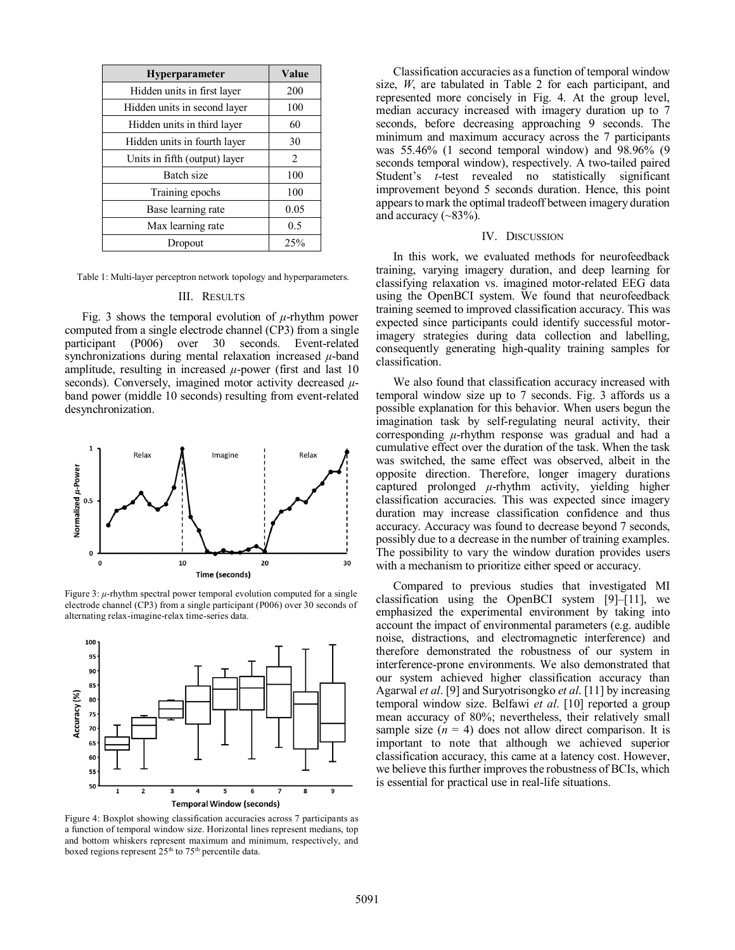| Hyperparameter                | Value |
|-------------------------------|-------|
| Hidden units in first layer   | 200   |
| Hidden units in second layer  | 100   |
| Hidden units in third layer   | 60    |
| Hidden units in fourth layer  | 30    |
| Units in fifth (output) layer | 2     |
| <b>Batch size</b>             | 100   |
| Training epochs               | 100   |
| Base learning rate            | 0.05  |
| Max learning rate             | 0.5   |
| Dropout                       | 25%   |

Table 1: Multi-layer perceptron network topology and hyperparameters.

## III. RESULTS

Fig. 3 shows the temporal evolution of *μ*-rhythm power computed from a single electrode channel (CP3) from a single participant (P006) over 30 seconds. Event-related synchronizations during mental relaxation increased *μ*-band amplitude, resulting in increased  $\mu$ -power (first and last 10) seconds). Conversely, imagined motor activity decreased *μ*band power (middle 10 seconds) resulting from event-related desynchronization.



Figure 3: *μ*-rhythm spectral power temporal evolution computed for a single electrode channel (CP3) from a single participant (P006) over 30 seconds of alternating relax-imagine-relax time-series data.



Figure 4: Boxplot showing classification accuracies across 7 participants as a function of temporal window size. Horizontal lines represent medians, top and bottom whiskers represent maximum and minimum, respectively, and boxed regions represent 25<sup>th</sup> to 75<sup>th</sup> percentile data.

Classification accuracies as a function of temporal window size, *W*, are tabulated in Table 2 for each participant, and represented more concisely in Fig. 4. At the group level, median accuracy increased with imagery duration up to 7 seconds, before decreasing approaching 9 seconds. The minimum and maximum accuracy across the 7 participants was 55.46% (1 second temporal window) and 98.96% (9 seconds temporal window), respectively. A two-tailed paired Student's *t*-test revealed no statistically significant improvement beyond 5 seconds duration. Hence, this point appears to mark the optimal tradeoff between imagery duration and accuracy  $(-83\%)$ .

# IV. DISCUSSION

In this work, we evaluated methods for neurofeedback training, varying imagery duration, and deep learning for classifying relaxation vs. imagined motor-related EEG data using the OpenBCI system. We found that neurofeedback training seemed to improved classification accuracy. This was expected since participants could identify successful motorimagery strategies during data collection and labelling, consequently generating high-quality training samples for classification.

We also found that classification accuracy increased with temporal window size up to 7 seconds. Fig. 3 affords us a possible explanation for this behavior. When users begun the imagination task by self-regulating neural activity, their corresponding *μ*-rhythm response was gradual and had a cumulative effect over the duration of the task. When the task was switched, the same effect was observed, albeit in the opposite direction. Therefore, longer imagery durations captured prolonged *μ*-rhythm activity, yielding higher classification accuracies. This was expected since imagery duration may increase classification confidence and thus accuracy. Accuracy was found to decrease beyond 7 seconds, possibly due to a decrease in the number of training examples. The possibility to vary the window duration provides users with a mechanism to prioritize either speed or accuracy.

Compared to previous studies that investigated MI classification using the OpenBCI system [9]–[11], we emphasized the experimental environment by taking into account the impact of environmental parameters (e.g. audible noise, distractions, and electromagnetic interference) and therefore demonstrated the robustness of our system in interference-prone environments. We also demonstrated that our system achieved higher classification accuracy than Agarwal *et al*. [9] and Suryotrisongko *et al*. [11] by increasing temporal window size. Belfawi *et al*. [10] reported a group mean accuracy of 80%; nevertheless, their relatively small sample size  $(n = 4)$  does not allow direct comparison. It is important to note that although we achieved superior classification accuracy, this came at a latency cost. However, we believe this further improves the robustness of BCIs, which is essential for practical use in real-life situations.